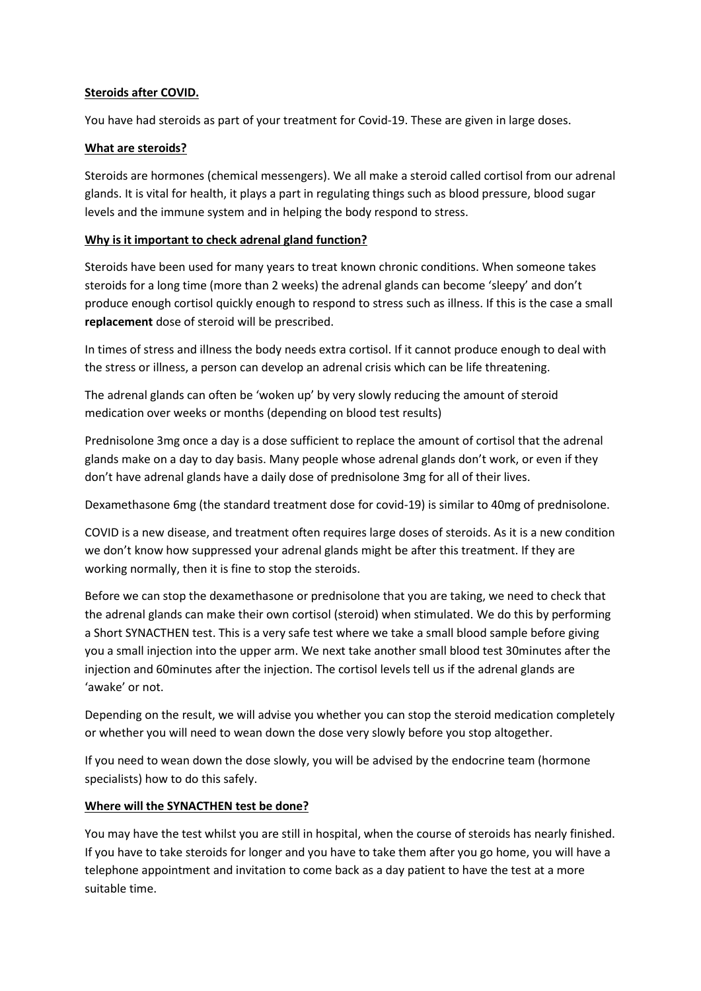### **Steroids after COVID.**

You have had steroids as part of your treatment for Covid-19. These are given in large doses.

### **What are steroids?**

Steroids are hormones (chemical messengers). We all make a steroid called cortisol from our adrenal glands. It is vital for health, it plays a part in regulating things such as blood pressure, blood sugar levels and the immune system and in helping the body respond to stress.

### **Why is it important to check adrenal gland function?**

Steroids have been used for many years to treat known chronic conditions. When someone takes steroids for a long time (more than 2 weeks) the adrenal glands can become 'sleepy' and don't produce enough cortisol quickly enough to respond to stress such as illness. If this is the case a small **replacement** dose of steroid will be prescribed.

In times of stress and illness the body needs extra cortisol. If it cannot produce enough to deal with the stress or illness, a person can develop an adrenal crisis which can be life threatening.

The adrenal glands can often be 'woken up' by very slowly reducing the amount of steroid medication over weeks or months (depending on blood test results)

Prednisolone 3mg once a day is a dose sufficient to replace the amount of cortisol that the adrenal glands make on a day to day basis. Many people whose adrenal glands don't work, or even if they don't have adrenal glands have a daily dose of prednisolone 3mg for all of their lives.

Dexamethasone 6mg (the standard treatment dose for covid-19) is similar to 40mg of prednisolone.

COVID is a new disease, and treatment often requires large doses of steroids. As it is a new condition we don't know how suppressed your adrenal glands might be after this treatment. If they are working normally, then it is fine to stop the steroids.

Before we can stop the dexamethasone or prednisolone that you are taking, we need to check that the adrenal glands can make their own cortisol (steroid) when stimulated. We do this by performing a Short SYNACTHEN test. This is a very safe test where we take a small blood sample before giving you a small injection into the upper arm. We next take another small blood test 30minutes after the injection and 60minutes after the injection. The cortisol levels tell us if the adrenal glands are 'awake' or not.

Depending on the result, we will advise you whether you can stop the steroid medication completely or whether you will need to wean down the dose very slowly before you stop altogether.

If you need to wean down the dose slowly, you will be advised by the endocrine team (hormone specialists) how to do this safely.

## **Where will the SYNACTHEN test be done?**

You may have the test whilst you are still in hospital, when the course of steroids has nearly finished. If you have to take steroids for longer and you have to take them after you go home, you will have a telephone appointment and invitation to come back as a day patient to have the test at a more suitable time.